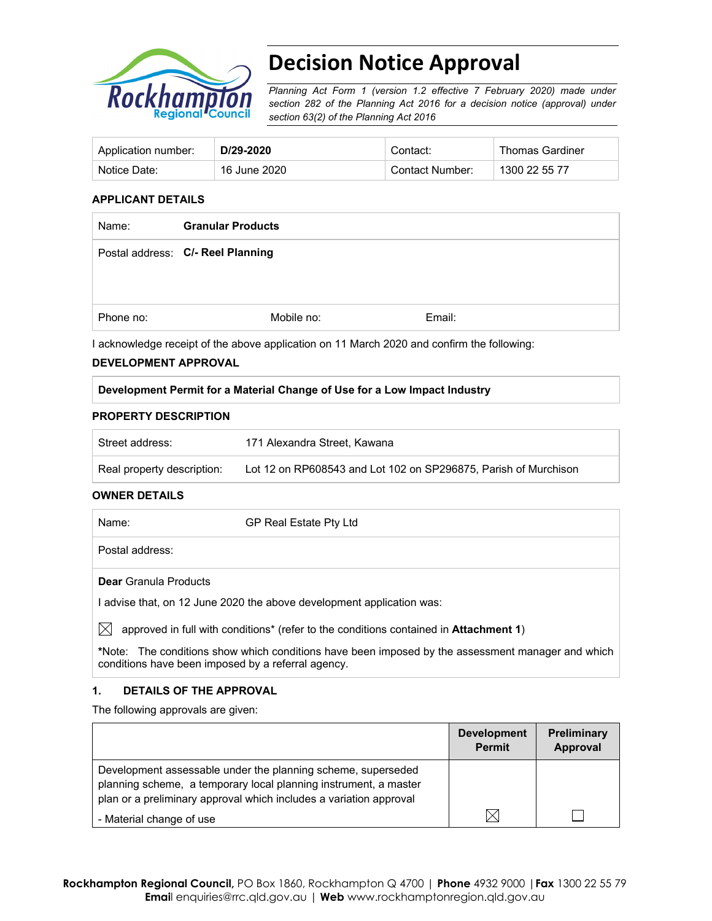

# **Decision Notice Approval**

*Planning Act Form 1 (version 1.2 effective 7 February 2020) made under section 282 of the Planning Act 2016 for a decision notice (approval) under section 63(2) of the Planning Act 2016*

| Application number: | D/29-2020    | Contact:        | <b>Thomas Gardiner</b> |
|---------------------|--------------|-----------------|------------------------|
| Notice Date:        | 16 June 2020 | Contact Number: | 1300 22 55 77          |

#### **APPLICANT DETAILS**

| Name:     | <b>Granular Products</b>          |        |
|-----------|-----------------------------------|--------|
|           | Postal address: C/- Reel Planning |        |
|           |                                   |        |
| Phone no: | Mobile no:                        | Email: |

I acknowledge receipt of the above application on 11 March 2020 and confirm the following:

#### **DEVELOPMENT APPROVAL**

#### **Development Permit for a Material Change of Use for a Low Impact Industry**

#### **PROPERTY DESCRIPTION**

| Street address:            | 171 Alexandra Street. Kawana                                    |
|----------------------------|-----------------------------------------------------------------|
| Real property description: | Lot 12 on RP608543 and Lot 102 on SP296875, Parish of Murchison |

#### **OWNER DETAILS**

| Name:                        | GP Real Estate Pty Ltd                                                |
|------------------------------|-----------------------------------------------------------------------|
| Postal address:              |                                                                       |
| <b>Dear</b> Granula Products |                                                                       |
|                              | I advise that, on 12 June 2020 the above development application was: |

 $\boxtimes$  approved in full with conditions<sup>\*</sup> (refer to the conditions contained in **Attachment 1**)

**\***Note:The conditions show which conditions have been imposed by the assessment manager and which conditions have been imposed by a referral agency.

#### **1. DETAILS OF THE APPROVAL**

The following approvals are given:

|                                                                                                                                                                                                        | <b>Development</b><br><b>Permit</b> | <b>Preliminary</b><br>Approval |
|--------------------------------------------------------------------------------------------------------------------------------------------------------------------------------------------------------|-------------------------------------|--------------------------------|
| Development assessable under the planning scheme, superseded<br>planning scheme, a temporary local planning instrument, a master<br>plan or a preliminary approval which includes a variation approval |                                     |                                |
| - Material change of use                                                                                                                                                                               |                                     |                                |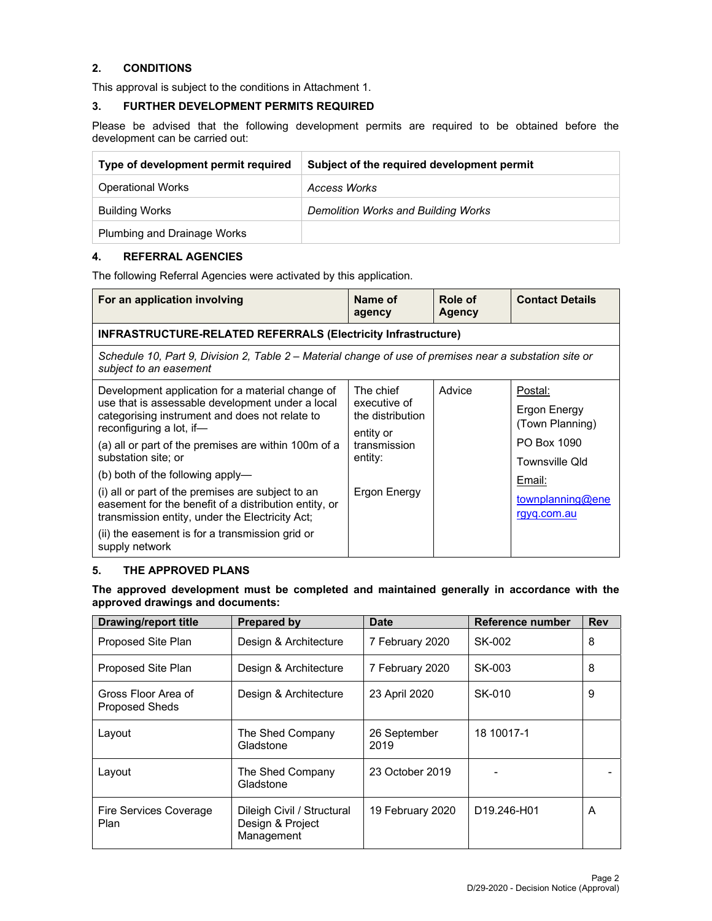#### **2. CONDITIONS**

This approval is subject to the conditions in Attachment 1.

#### **3. FURTHER DEVELOPMENT PERMITS REQUIRED**

Please be advised that the following development permits are required to be obtained before the development can be carried out:

| Type of development permit required | Subject of the required development permit |
|-------------------------------------|--------------------------------------------|
| <b>Operational Works</b>            | Access Works                               |
| <b>Building Works</b>               | Demolition Works and Building Works        |
| <b>Plumbing and Drainage Works</b>  |                                            |

## **4. REFERRAL AGENCIES**

The following Referral Agencies were activated by this application.

| For an application involving                                                                                                                                                                                                                                                                                                                                                                                                                                                                                                                | Name of<br>agency                                                                                     | Role of<br><b>Agency</b> | <b>Contact Details</b>                                                                                                   |  |
|---------------------------------------------------------------------------------------------------------------------------------------------------------------------------------------------------------------------------------------------------------------------------------------------------------------------------------------------------------------------------------------------------------------------------------------------------------------------------------------------------------------------------------------------|-------------------------------------------------------------------------------------------------------|--------------------------|--------------------------------------------------------------------------------------------------------------------------|--|
| <b>INFRASTRUCTURE-RELATED REFERRALS (Electricity Infrastructure)</b>                                                                                                                                                                                                                                                                                                                                                                                                                                                                        |                                                                                                       |                          |                                                                                                                          |  |
| Schedule 10, Part 9, Division 2, Table 2 – Material change of use of premises near a substation site or<br>subject to an easement                                                                                                                                                                                                                                                                                                                                                                                                           |                                                                                                       |                          |                                                                                                                          |  |
| Development application for a material change of<br>use that is assessable development under a local<br>categorising instrument and does not relate to<br>reconfiguring a lot, if-<br>(a) all or part of the premises are within 100m of a<br>substation site; or<br>(b) both of the following apply—<br>(i) all or part of the premises are subject to an<br>easement for the benefit of a distribution entity, or<br>transmission entity, under the Electricity Act;<br>(ii) the easement is for a transmission grid or<br>supply network | The chief<br>executive of<br>the distribution<br>entity or<br>transmission<br>entity:<br>Ergon Energy | Advice                   | Postal:<br>Ergon Energy<br>(Town Planning)<br>PO Box 1090<br>Townsville Old<br>Email:<br>townplanning@ene<br>rgyq.com.au |  |

#### **5. THE APPROVED PLANS**

#### **The approved development must be completed and maintained generally in accordance with the approved drawings and documents:**

| Drawing/report title                         | <b>Prepared by</b>                                           | Date                 | Reference number                     | <b>Rev</b> |
|----------------------------------------------|--------------------------------------------------------------|----------------------|--------------------------------------|------------|
| Proposed Site Plan                           | Design & Architecture                                        | 7 February 2020      | SK-002                               | 8          |
| Proposed Site Plan                           | Design & Architecture                                        | 7 February 2020      | SK-003                               | 8          |
| Gross Floor Area of<br><b>Proposed Sheds</b> | Design & Architecture                                        | 23 April 2020        | SK-010                               | 9          |
| Layout                                       | The Shed Company<br>Gladstone                                | 26 September<br>2019 | 18 10017-1                           |            |
| Layout                                       | The Shed Company<br>Gladstone                                | 23 October 2019      |                                      |            |
| <b>Fire Services Coverage</b><br>Plan        | Dileigh Civil / Structural<br>Design & Project<br>Management | 19 February 2020     | D <sub>19.246</sub> -H <sub>01</sub> | A          |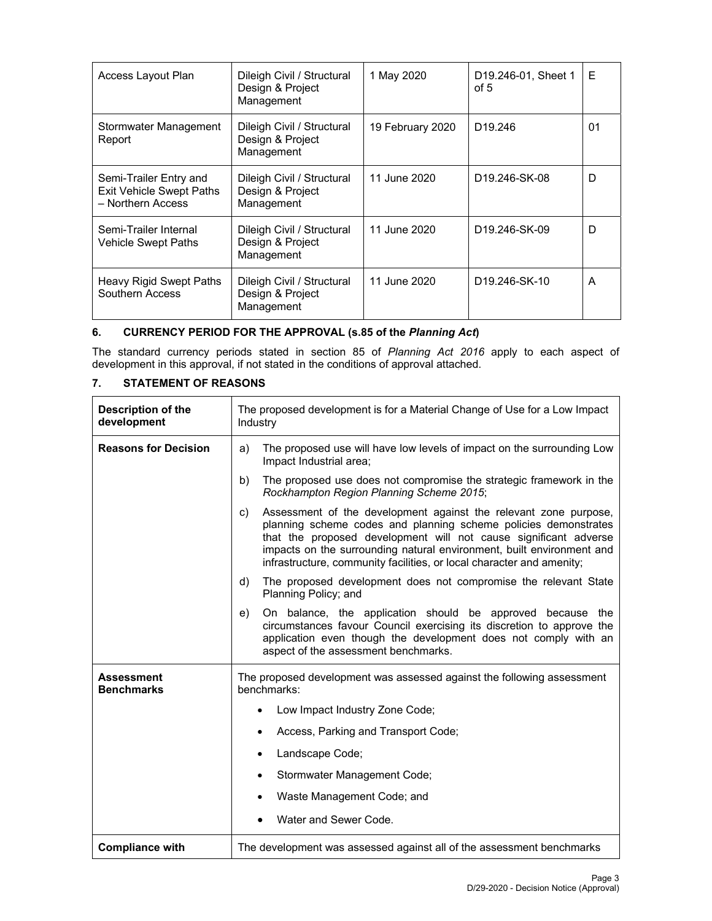| Access Layout Plan                                                             | Dileigh Civil / Structural<br>Design & Project<br>Management | 1 May 2020       | D <sub>19.246</sub> -01, Sheet 1<br>of 5 | E  |
|--------------------------------------------------------------------------------|--------------------------------------------------------------|------------------|------------------------------------------|----|
| Stormwater Management<br>Report                                                | Dileigh Civil / Structural<br>Design & Project<br>Management | 19 February 2020 | D <sub>19.246</sub>                      | 01 |
| Semi-Trailer Entry and<br><b>Exit Vehicle Swept Paths</b><br>- Northern Access | Dileigh Civil / Structural<br>Design & Project<br>Management | 11 June 2020     | D <sub>19.246</sub> -SK-08               | D  |
| Semi-Trailer Internal<br>Vehicle Swept Paths                                   | Dileigh Civil / Structural<br>Design & Project<br>Management | 11 June 2020     | D <sub>19.246</sub> -SK-09               | D  |
| Heavy Rigid Swept Paths<br>Southern Access                                     | Dileigh Civil / Structural<br>Design & Project<br>Management | 11 June 2020     | D <sub>19.246</sub> -SK-10               | A  |

## **6. CURRENCY PERIOD FOR THE APPROVAL (s.85 of the** *Planning Act***)**

The standard currency periods stated in section 85 of *Planning Act 2016* apply to each aspect of development in this approval, if not stated in the conditions of approval attached.

## **7. STATEMENT OF REASONS**

| Description of the<br>development      | The proposed development is for a Material Change of Use for a Low Impact<br>Industry                                                                                                                                                                                                                                                                           |  |  |
|----------------------------------------|-----------------------------------------------------------------------------------------------------------------------------------------------------------------------------------------------------------------------------------------------------------------------------------------------------------------------------------------------------------------|--|--|
| <b>Reasons for Decision</b>            | The proposed use will have low levels of impact on the surrounding Low<br>a)<br>Impact Industrial area;                                                                                                                                                                                                                                                         |  |  |
|                                        | The proposed use does not compromise the strategic framework in the<br>b)<br>Rockhampton Region Planning Scheme 2015;                                                                                                                                                                                                                                           |  |  |
|                                        | Assessment of the development against the relevant zone purpose,<br>C)<br>planning scheme codes and planning scheme policies demonstrates<br>that the proposed development will not cause significant adverse<br>impacts on the surrounding natural environment, built environment and<br>infrastructure, community facilities, or local character and amenity; |  |  |
|                                        | The proposed development does not compromise the relevant State<br>d)<br>Planning Policy; and                                                                                                                                                                                                                                                                   |  |  |
|                                        | On balance, the application should be approved because the<br>e)<br>circumstances favour Council exercising its discretion to approve the<br>application even though the development does not comply with an<br>aspect of the assessment benchmarks.                                                                                                            |  |  |
| <b>Assessment</b><br><b>Benchmarks</b> | The proposed development was assessed against the following assessment<br>benchmarks:                                                                                                                                                                                                                                                                           |  |  |
|                                        | Low Impact Industry Zone Code;<br>$\bullet$                                                                                                                                                                                                                                                                                                                     |  |  |
|                                        | Access, Parking and Transport Code;<br>٠                                                                                                                                                                                                                                                                                                                        |  |  |
|                                        | Landscape Code;<br>٠                                                                                                                                                                                                                                                                                                                                            |  |  |
|                                        | Stormwater Management Code;<br>٠                                                                                                                                                                                                                                                                                                                                |  |  |
|                                        | Waste Management Code; and<br>٠                                                                                                                                                                                                                                                                                                                                 |  |  |
|                                        | Water and Sewer Code.                                                                                                                                                                                                                                                                                                                                           |  |  |
| <b>Compliance with</b>                 | The development was assessed against all of the assessment benchmarks                                                                                                                                                                                                                                                                                           |  |  |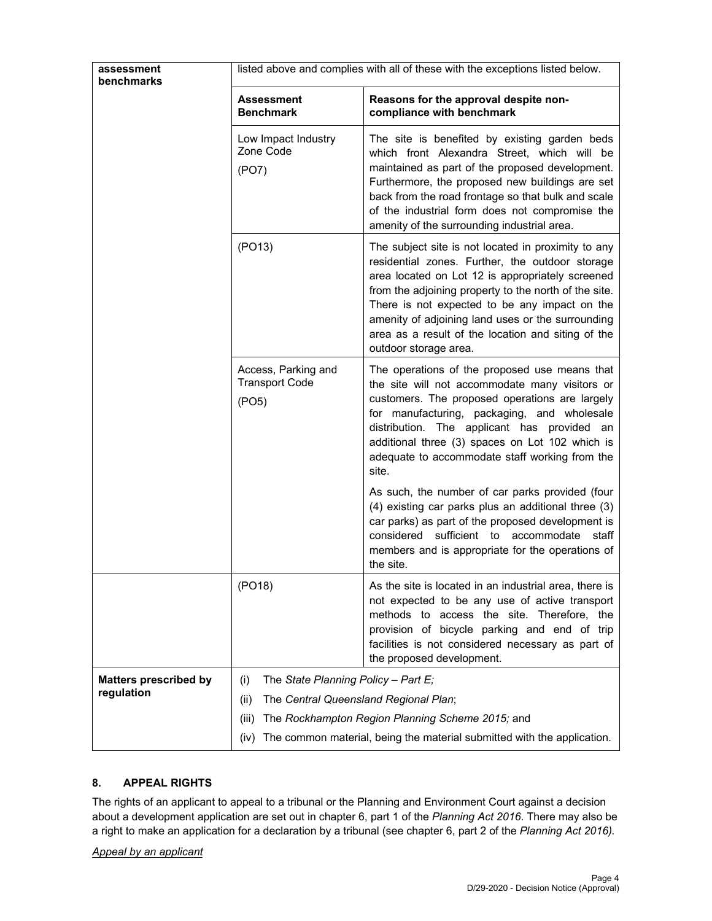| assessment                                 | listed above and complies with all of these with the exceptions listed below.                           |                                                                                                                                                                                                                                                                                                                                                                                                          |  |  |
|--------------------------------------------|---------------------------------------------------------------------------------------------------------|----------------------------------------------------------------------------------------------------------------------------------------------------------------------------------------------------------------------------------------------------------------------------------------------------------------------------------------------------------------------------------------------------------|--|--|
| <b>benchmarks</b>                          |                                                                                                         |                                                                                                                                                                                                                                                                                                                                                                                                          |  |  |
|                                            | <b>Assessment</b><br><b>Benchmark</b>                                                                   | Reasons for the approval despite non-<br>compliance with benchmark                                                                                                                                                                                                                                                                                                                                       |  |  |
|                                            | Low Impact Industry<br>Zone Code<br>(PO7)                                                               | The site is benefited by existing garden beds<br>which front Alexandra Street, which will be<br>maintained as part of the proposed development.<br>Furthermore, the proposed new buildings are set<br>back from the road frontage so that bulk and scale<br>of the industrial form does not compromise the<br>amenity of the surrounding industrial area.                                                |  |  |
|                                            | (PO13)                                                                                                  | The subject site is not located in proximity to any<br>residential zones. Further, the outdoor storage<br>area located on Lot 12 is appropriately screened<br>from the adjoining property to the north of the site.<br>There is not expected to be any impact on the<br>amenity of adjoining land uses or the surrounding<br>area as a result of the location and siting of the<br>outdoor storage area. |  |  |
|                                            | Access, Parking and<br><b>Transport Code</b><br>(PO5)                                                   | The operations of the proposed use means that<br>the site will not accommodate many visitors or<br>customers. The proposed operations are largely<br>for manufacturing, packaging, and wholesale<br>distribution. The applicant has provided an<br>additional three (3) spaces on Lot 102 which is<br>adequate to accommodate staff working from the<br>site.                                            |  |  |
|                                            |                                                                                                         | As such, the number of car parks provided (four<br>(4) existing car parks plus an additional three (3)<br>car parks) as part of the proposed development is<br>considered<br>sufficient to accommodate staff<br>members and is appropriate for the operations of<br>the site.                                                                                                                            |  |  |
|                                            | (PO18)                                                                                                  | As the site is located in an industrial area, there is<br>not expected to be any use of active transport<br>methods to access the site. Therefore, the<br>provision of bicycle parking and end of trip<br>facilities is not considered necessary as part of<br>the proposed development.                                                                                                                 |  |  |
| <b>Matters prescribed by</b><br>regulation | The State Planning Policy - Part $E_i$<br>(i)<br>The Central Queensland Regional Plan;<br>(ii)<br>(iii) | The Rockhampton Region Planning Scheme 2015; and                                                                                                                                                                                                                                                                                                                                                         |  |  |
|                                            | The common material, being the material submitted with the application.<br>(iv)                         |                                                                                                                                                                                                                                                                                                                                                                                                          |  |  |

### **8. APPEAL RIGHTS**

The rights of an applicant to appeal to a tribunal or the Planning and Environment Court against a decision about a development application are set out in chapter 6, part 1 of the *Planning Act 2016*. There may also be a right to make an application for a declaration by a tribunal (see chapter 6, part 2 of the *Planning Act 2016).*

#### *Appeal by an applicant*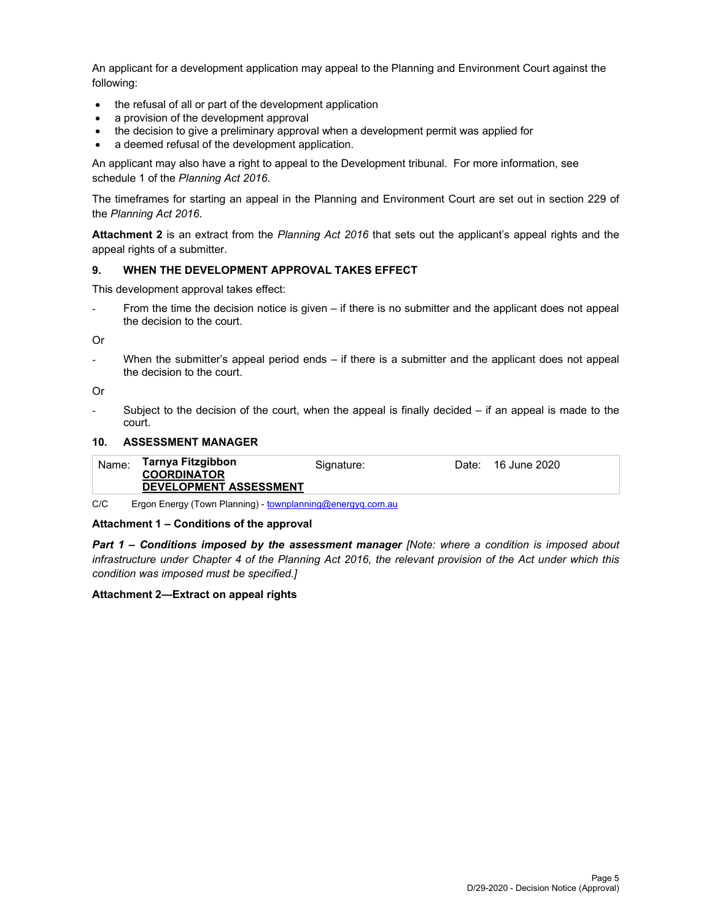An applicant for a development application may appeal to the Planning and Environment Court against the following:

- the refusal of all or part of the development application
- a provision of the development approval
- the decision to give a preliminary approval when a development permit was applied for
- a deemed refusal of the development application.

An applicant may also have a right to appeal to the Development tribunal. For more information, see schedule 1 of the *Planning Act 2016*.

The timeframes for starting an appeal in the Planning and Environment Court are set out in section 229 of the *Planning Act 2016*.

**Attachment 2** is an extract from the *Planning Act 2016* that sets out the applicant's appeal rights and the appeal rights of a submitter.

#### **9. WHEN THE DEVELOPMENT APPROVAL TAKES EFFECT**

This development approval takes effect:

From the time the decision notice is given – if there is no submitter and the applicant does not appeal the decision to the court.

Or

When the submitter's appeal period ends  $-$  if there is a submitter and the applicant does not appeal the decision to the court.

Or

Subject to the decision of the court, when the appeal is finally decided  $-$  if an appeal is made to the court.

#### **10. ASSESSMENT MANAGER**

| Name: | Tarnya Fitzgibbon<br><b>COORDINATOR</b> | Signature: | Date: | 16 June 2020 |
|-------|-----------------------------------------|------------|-------|--------------|
|       | <b>DEVELOPMENT ASSESSMENT</b>           |            |       |              |
|       |                                         |            |       |              |

C/C Ergon Energy (Town Planning) - townplanning@energyq.com.au

#### **Attachment 1 – Conditions of the approval**

*Part 1* **–** *Conditions imposed by the assessment manager [Note: where a condition is imposed about infrastructure under Chapter 4 of the Planning Act 2016, the relevant provision of the Act under which this condition was imposed must be specified.]*

#### **Attachment 2—Extract on appeal rights**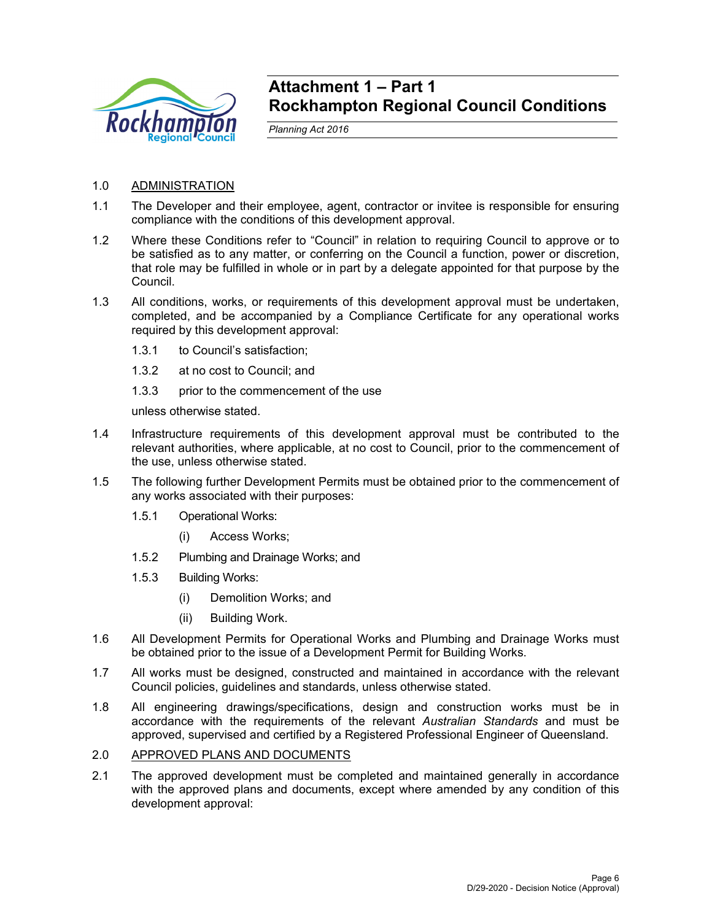

## **Attachment 1 – Part 1 Rockhampton Regional Council Conditions**

*Planning Act 2016* 

## 1.0 ADMINISTRATION

- 1.1 The Developer and their employee, agent, contractor or invitee is responsible for ensuring compliance with the conditions of this development approval.
- 1.2 Where these Conditions refer to "Council" in relation to requiring Council to approve or to be satisfied as to any matter, or conferring on the Council a function, power or discretion, that role may be fulfilled in whole or in part by a delegate appointed for that purpose by the Council.
- 1.3 All conditions, works, or requirements of this development approval must be undertaken, completed, and be accompanied by a Compliance Certificate for any operational works required by this development approval:
	- 1.3.1 to Council's satisfaction;
	- 1.3.2 at no cost to Council; and
	- 1.3.3 prior to the commencement of the use

unless otherwise stated.

- 1.4 Infrastructure requirements of this development approval must be contributed to the relevant authorities, where applicable, at no cost to Council, prior to the commencement of the use, unless otherwise stated.
- 1.5 The following further Development Permits must be obtained prior to the commencement of any works associated with their purposes:
	- 1.5.1 Operational Works:
		- (i) Access Works;
	- 1.5.2 Plumbing and Drainage Works; and
	- 1.5.3 Building Works:
		- (i) Demolition Works; and
		- (ii) Building Work.
- 1.6 All Development Permits for Operational Works and Plumbing and Drainage Works must be obtained prior to the issue of a Development Permit for Building Works.
- 1.7 All works must be designed, constructed and maintained in accordance with the relevant Council policies, guidelines and standards, unless otherwise stated.
- 1.8 All engineering drawings/specifications, design and construction works must be in accordance with the requirements of the relevant *Australian Standards* and must be approved, supervised and certified by a Registered Professional Engineer of Queensland.

## 2.0 APPROVED PLANS AND DOCUMENTS

2.1 The approved development must be completed and maintained generally in accordance with the approved plans and documents, except where amended by any condition of this development approval: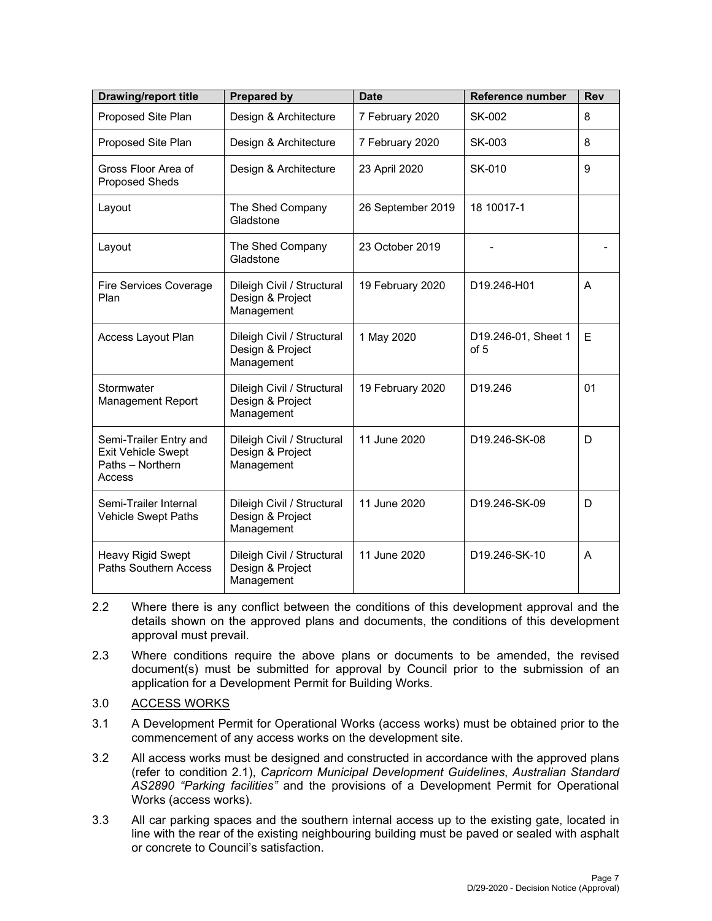| <b>Drawing/report title</b>                                                       | <b>Prepared by</b>                                           | <b>Date</b>       | <b>Reference number</b>     | <b>Rev</b> |
|-----------------------------------------------------------------------------------|--------------------------------------------------------------|-------------------|-----------------------------|------------|
| Proposed Site Plan                                                                | Design & Architecture                                        | 7 February 2020   | SK-002                      | 8          |
| Proposed Site Plan                                                                | Design & Architecture                                        | 7 February 2020   | SK-003                      | 8          |
| Gross Floor Area of<br><b>Proposed Sheds</b>                                      | Design & Architecture                                        | 23 April 2020     | SK-010                      | 9          |
| Layout                                                                            | The Shed Company<br>Gladstone                                | 26 September 2019 | 18 10017-1                  |            |
| Layout                                                                            | The Shed Company<br>Gladstone                                | 23 October 2019   |                             |            |
| <b>Fire Services Coverage</b><br>Plan                                             | Dileigh Civil / Structural<br>Design & Project<br>Management | 19 February 2020  | D19.246-H01                 | A          |
| Access Layout Plan                                                                | Dileigh Civil / Structural<br>Design & Project<br>Management | 1 May 2020        | D19.246-01, Sheet 1<br>of 5 | Е          |
| Stormwater<br><b>Management Report</b>                                            | Dileigh Civil / Structural<br>Design & Project<br>Management | 19 February 2020  | D19.246                     | 01         |
| Semi-Trailer Entry and<br><b>Exit Vehicle Swept</b><br>Paths - Northern<br>Access | Dileigh Civil / Structural<br>Design & Project<br>Management | 11 June 2020      | D19.246-SK-08               | D          |
| Semi-Trailer Internal<br><b>Vehicle Swept Paths</b>                               | Dileigh Civil / Structural<br>Design & Project<br>Management | 11 June 2020      | D19.246-SK-09               | D          |
| Heavy Rigid Swept<br><b>Paths Southern Access</b>                                 | Dileigh Civil / Structural<br>Design & Project<br>Management | 11 June 2020      | D19.246-SK-10               | A          |

- 2.2 Where there is any conflict between the conditions of this development approval and the details shown on the approved plans and documents, the conditions of this development approval must prevail.
- 2.3 Where conditions require the above plans or documents to be amended, the revised document(s) must be submitted for approval by Council prior to the submission of an application for a Development Permit for Building Works.
- 3.0 ACCESS WORKS
- 3.1 A Development Permit for Operational Works (access works) must be obtained prior to the commencement of any access works on the development site.
- 3.2 All access works must be designed and constructed in accordance with the approved plans (refer to condition 2.1), *Capricorn Municipal Development Guidelines*, *Australian Standard AS2890 "Parking facilities"* and the provisions of a Development Permit for Operational Works (access works).
- 3.3 All car parking spaces and the southern internal access up to the existing gate, located in line with the rear of the existing neighbouring building must be paved or sealed with asphalt or concrete to Council's satisfaction.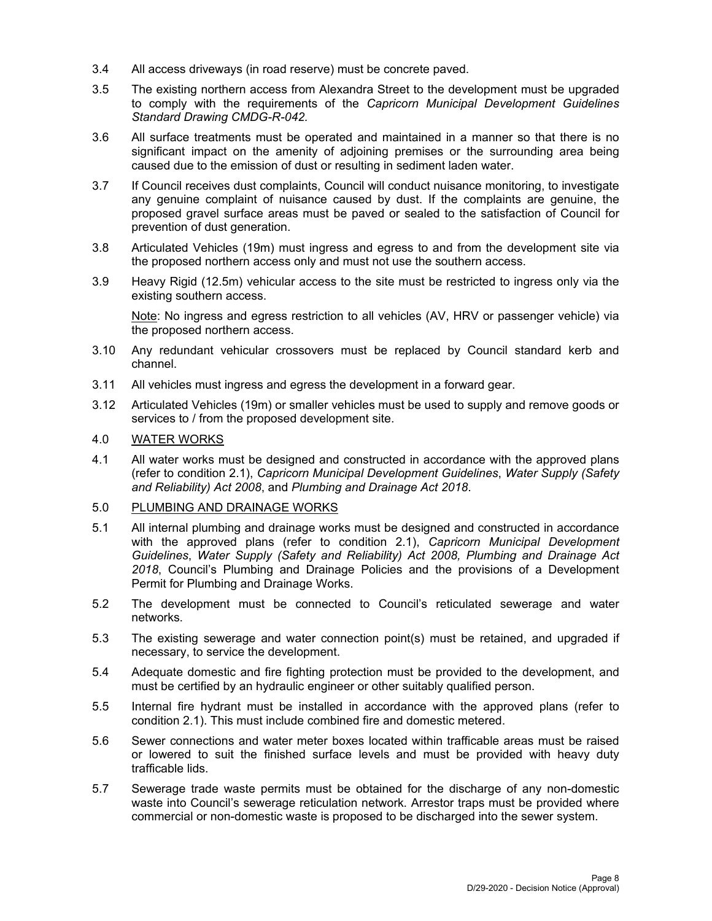- 3.4 All access driveways (in road reserve) must be concrete paved.
- 3.5 The existing northern access from Alexandra Street to the development must be upgraded to comply with the requirements of the *Capricorn Municipal Development Guidelines Standard Drawing CMDG-R-042.*
- 3.6 All surface treatments must be operated and maintained in a manner so that there is no significant impact on the amenity of adjoining premises or the surrounding area being caused due to the emission of dust or resulting in sediment laden water.
- 3.7 If Council receives dust complaints, Council will conduct nuisance monitoring, to investigate any genuine complaint of nuisance caused by dust. If the complaints are genuine, the proposed gravel surface areas must be paved or sealed to the satisfaction of Council for prevention of dust generation.
- 3.8 Articulated Vehicles (19m) must ingress and egress to and from the development site via the proposed northern access only and must not use the southern access.
- 3.9 Heavy Rigid (12.5m) vehicular access to the site must be restricted to ingress only via the existing southern access.

Note: No ingress and egress restriction to all vehicles (AV, HRV or passenger vehicle) via the proposed northern access.

- 3.10 Any redundant vehicular crossovers must be replaced by Council standard kerb and channel.
- 3.11 All vehicles must ingress and egress the development in a forward gear.
- 3.12 Articulated Vehicles (19m) or smaller vehicles must be used to supply and remove goods or services to / from the proposed development site.

## 4.0 WATER WORKS

4.1 All water works must be designed and constructed in accordance with the approved plans (refer to condition 2.1), *Capricorn Municipal Development Guidelines*, *Water Supply (Safety and Reliability) Act 2008*, and *Plumbing and Drainage Act 2018*.

## 5.0 PLUMBING AND DRAINAGE WORKS

- 5.1 All internal plumbing and drainage works must be designed and constructed in accordance with the approved plans (refer to condition 2.1), *Capricorn Municipal Development Guidelines*, *Water Supply (Safety and Reliability) Act 2008, Plumbing and Drainage Act 2018*, Council's Plumbing and Drainage Policies and the provisions of a Development Permit for Plumbing and Drainage Works.
- 5.2 The development must be connected to Council's reticulated sewerage and water networks.
- 5.3 The existing sewerage and water connection point(s) must be retained, and upgraded if necessary, to service the development.
- 5.4 Adequate domestic and fire fighting protection must be provided to the development, and must be certified by an hydraulic engineer or other suitably qualified person.
- 5.5 Internal fire hydrant must be installed in accordance with the approved plans (refer to condition 2.1). This must include combined fire and domestic metered.
- 5.6 Sewer connections and water meter boxes located within trafficable areas must be raised or lowered to suit the finished surface levels and must be provided with heavy duty trafficable lids.
- 5.7 Sewerage trade waste permits must be obtained for the discharge of any non-domestic waste into Council's sewerage reticulation network. Arrestor traps must be provided where commercial or non-domestic waste is proposed to be discharged into the sewer system.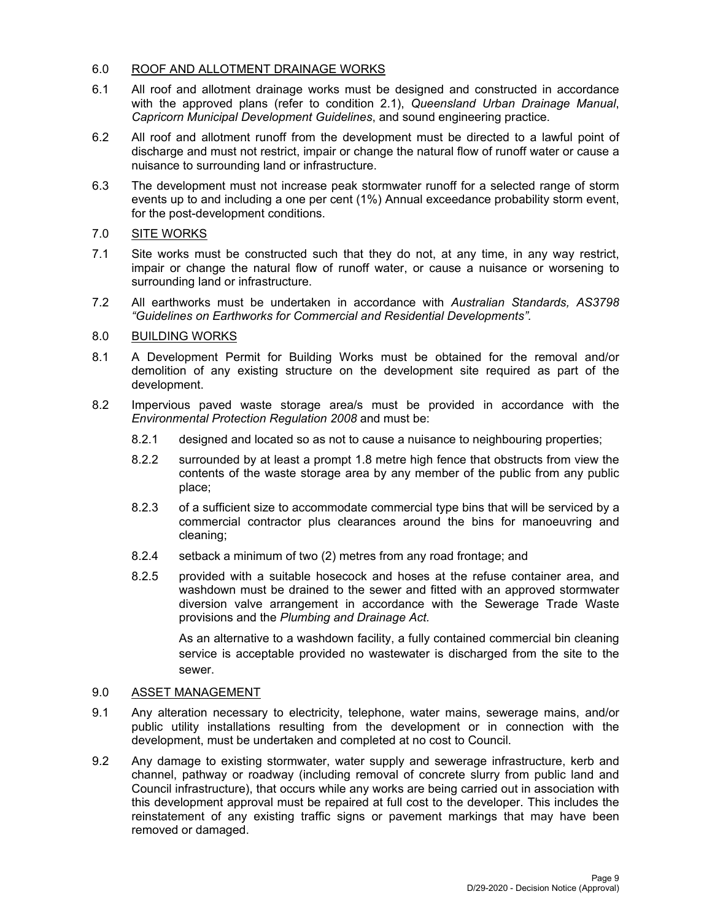#### 6.0 ROOF AND ALLOTMENT DRAINAGE WORKS

- 6.1 All roof and allotment drainage works must be designed and constructed in accordance with the approved plans (refer to condition 2.1), *Queensland Urban Drainage Manual*, *Capricorn Municipal Development Guidelines*, and sound engineering practice.
- 6.2 All roof and allotment runoff from the development must be directed to a lawful point of discharge and must not restrict, impair or change the natural flow of runoff water or cause a nuisance to surrounding land or infrastructure.
- 6.3 The development must not increase peak stormwater runoff for a selected range of storm events up to and including a one per cent (1%) Annual exceedance probability storm event, for the post-development conditions.

## 7.0 SITE WORKS

- 7.1 Site works must be constructed such that they do not, at any time, in any way restrict, impair or change the natural flow of runoff water, or cause a nuisance or worsening to surrounding land or infrastructure.
- 7.2 All earthworks must be undertaken in accordance with *Australian Standards, AS3798 "Guidelines on Earthworks for Commercial and Residential Developments".*

## 8.0 BUILDING WORKS

- 8.1 A Development Permit for Building Works must be obtained for the removal and/or demolition of any existing structure on the development site required as part of the development.
- 8.2 Impervious paved waste storage area/s must be provided in accordance with the *Environmental Protection Regulation 2008* and must be:
	- 8.2.1 designed and located so as not to cause a nuisance to neighbouring properties;
	- 8.2.2 surrounded by at least a prompt 1.8 metre high fence that obstructs from view the contents of the waste storage area by any member of the public from any public place;
	- 8.2.3 of a sufficient size to accommodate commercial type bins that will be serviced by a commercial contractor plus clearances around the bins for manoeuvring and cleaning;
	- 8.2.4 setback a minimum of two (2) metres from any road frontage; and
	- 8.2.5 provided with a suitable hosecock and hoses at the refuse container area, and washdown must be drained to the sewer and fitted with an approved stormwater diversion valve arrangement in accordance with the Sewerage Trade Waste provisions and the *Plumbing and Drainage Act.*

As an alternative to a washdown facility, a fully contained commercial bin cleaning service is acceptable provided no wastewater is discharged from the site to the sewer.

#### 9.0 ASSET MANAGEMENT

- 9.1 Any alteration necessary to electricity, telephone, water mains, sewerage mains, and/or public utility installations resulting from the development or in connection with the development, must be undertaken and completed at no cost to Council.
- 9.2 Any damage to existing stormwater, water supply and sewerage infrastructure, kerb and channel, pathway or roadway (including removal of concrete slurry from public land and Council infrastructure), that occurs while any works are being carried out in association with this development approval must be repaired at full cost to the developer. This includes the reinstatement of any existing traffic signs or pavement markings that may have been removed or damaged.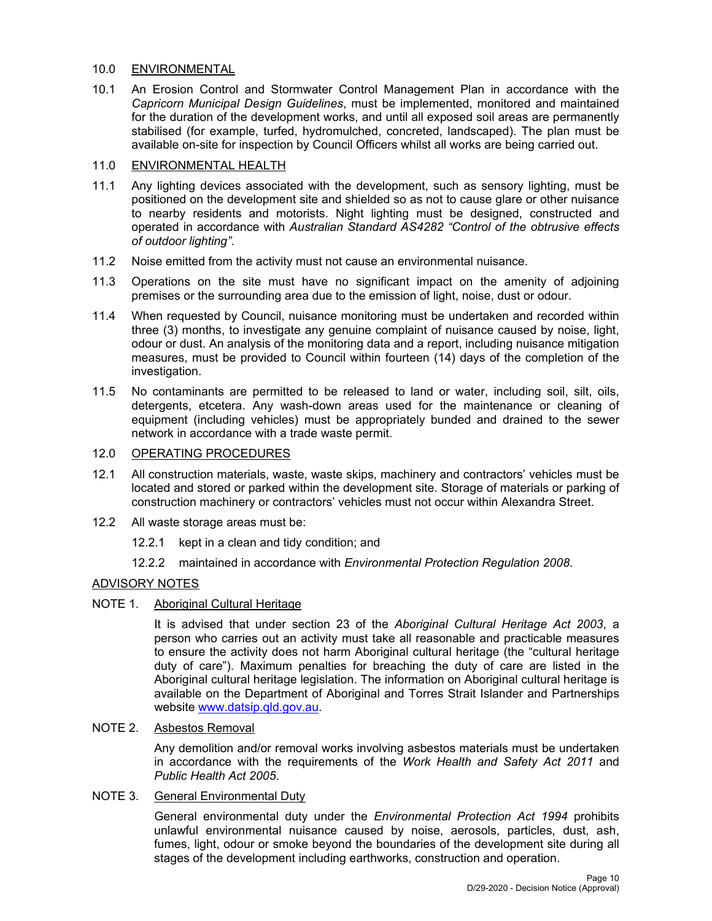### 10.0 ENVIRONMENTAL

10.1 An Erosion Control and Stormwater Control Management Plan in accordance with the *Capricorn Municipal Design Guidelines*, must be implemented, monitored and maintained for the duration of the development works, and until all exposed soil areas are permanently stabilised (for example, turfed, hydromulched, concreted, landscaped). The plan must be available on-site for inspection by Council Officers whilst all works are being carried out.

## 11.0 ENVIRONMENTAL HEALTH

- 11.1 Any lighting devices associated with the development, such as sensory lighting, must be positioned on the development site and shielded so as not to cause glare or other nuisance to nearby residents and motorists. Night lighting must be designed, constructed and operated in accordance with *Australian Standard AS4282 "Control of the obtrusive effects of outdoor lighting"*.
- 11.2 Noise emitted from the activity must not cause an environmental nuisance.
- 11.3 Operations on the site must have no significant impact on the amenity of adjoining premises or the surrounding area due to the emission of light, noise, dust or odour.
- 11.4 When requested by Council, nuisance monitoring must be undertaken and recorded within three (3) months, to investigate any genuine complaint of nuisance caused by noise, light, odour or dust. An analysis of the monitoring data and a report, including nuisance mitigation measures, must be provided to Council within fourteen (14) days of the completion of the investigation.
- 11.5 No contaminants are permitted to be released to land or water, including soil, silt, oils, detergents, etcetera. Any wash-down areas used for the maintenance or cleaning of equipment (including vehicles) must be appropriately bunded and drained to the sewer network in accordance with a trade waste permit.
- 12.0 OPERATING PROCEDURES
- 12.1 All construction materials, waste, waste skips, machinery and contractors' vehicles must be located and stored or parked within the development site. Storage of materials or parking of construction machinery or contractors' vehicles must not occur within Alexandra Street.
- 12.2 All waste storage areas must be:
	- 12.2.1 kept in a clean and tidy condition; and
	- 12.2.2 maintained in accordance with *Environmental Protection Regulation 2008*.

## ADVISORY NOTES

#### NOTE 1. Aboriginal Cultural Heritage

It is advised that under section 23 of the *Aboriginal Cultural Heritage Act 2003*, a person who carries out an activity must take all reasonable and practicable measures to ensure the activity does not harm Aboriginal cultural heritage (the "cultural heritage duty of care"). Maximum penalties for breaching the duty of care are listed in the Aboriginal cultural heritage legislation. The information on Aboriginal cultural heritage is available on the Department of Aboriginal and Torres Strait Islander and Partnerships website www.datsip.qld.gov.au.

#### NOTE 2. Asbestos Removal

Any demolition and/or removal works involving asbestos materials must be undertaken in accordance with the requirements of the *Work Health and Safety Act 2011* and *Public Health Act 2005*.

#### NOTE 3. General Environmental Duty

General environmental duty under the *Environmental Protection Act 1994* prohibits unlawful environmental nuisance caused by noise, aerosols, particles, dust, ash, fumes, light, odour or smoke beyond the boundaries of the development site during all stages of the development including earthworks, construction and operation.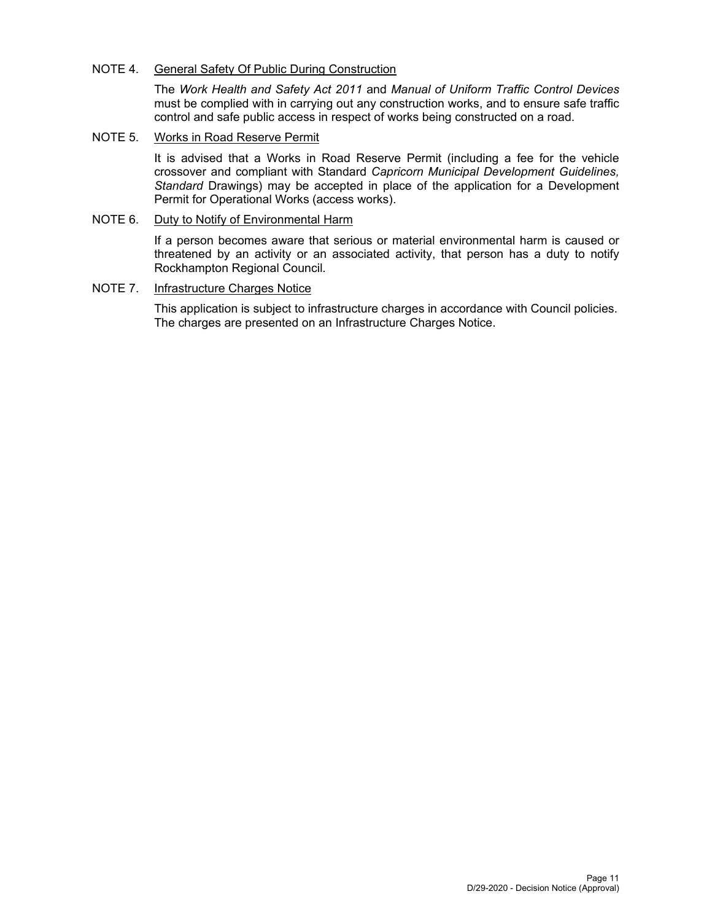#### NOTE 4. General Safety Of Public During Construction

The *Work Health and Safety Act 2011* and *Manual of Uniform Traffic Control Devices* must be complied with in carrying out any construction works, and to ensure safe traffic control and safe public access in respect of works being constructed on a road.

NOTE 5. Works in Road Reserve Permit

It is advised that a Works in Road Reserve Permit (including a fee for the vehicle crossover and compliant with Standard *Capricorn Municipal Development Guidelines, Standard* Drawings) may be accepted in place of the application for a Development Permit for Operational Works (access works).

## NOTE 6. Duty to Notify of Environmental Harm

If a person becomes aware that serious or material environmental harm is caused or threatened by an activity or an associated activity, that person has a duty to notify Rockhampton Regional Council.

## NOTE 7. Infrastructure Charges Notice

This application is subject to infrastructure charges in accordance with Council policies. The charges are presented on an Infrastructure Charges Notice.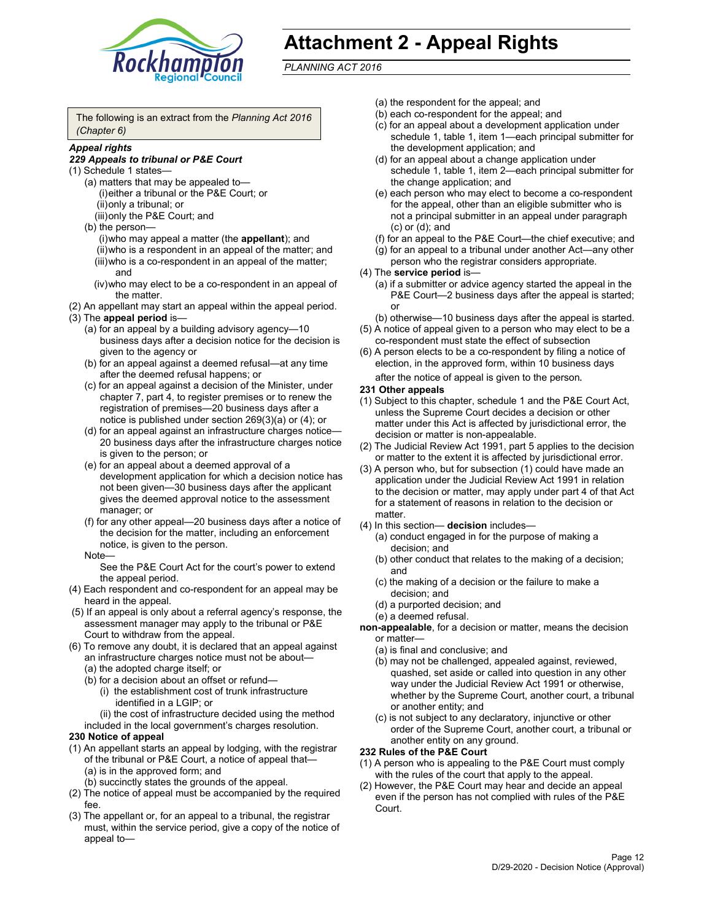

# **Attachment 2 - Appeal Rights**

*PLANNING ACT 2016*

The following is an extract from the *Planning Act 2016 (Chapter 6)*

#### *Appeal rights*

#### *229 Appeals to tribunal or P&E Court*

- (1) Schedule 1 states—
	- (a) matters that may be appealed to— (i) either a tribunal or the P&E Court; or (ii) only a tribunal; or (iii) only the P&E Court; and
	- (b) the person—
		- (i) who may appeal a matter (the **appellant**); and
		- (ii) who is a respondent in an appeal of the matter; and (iii) who is a co-respondent in an appeal of the matter; and
		- (iv) who may elect to be a co-respondent in an appeal of the matter.
- (2) An appellant may start an appeal within the appeal period.
- (3) The **appeal period** is—
	- (a) for an appeal by a building advisory agency—10 business days after a decision notice for the decision is given to the agency or
	- (b) for an appeal against a deemed refusal—at any time after the deemed refusal happens; or
	- (c) for an appeal against a decision of the Minister, under chapter 7, part 4, to register premises or to renew the registration of premises—20 business days after a notice is published under section 269(3)(a) or (4); or
	- (d) for an appeal against an infrastructure charges notice— 20 business days after the infrastructure charges notice is given to the person; or
	- (e) for an appeal about a deemed approval of a development application for which a decision notice has not been given—30 business days after the applicant gives the deemed approval notice to the assessment manager; or
	- (f) for any other appeal—20 business days after a notice of the decision for the matter, including an enforcement notice, is given to the person.

#### Note—

See the P&E Court Act for the court's power to extend the appeal period.

- (4) Each respondent and co-respondent for an appeal may be heard in the appeal.
- (5) If an appeal is only about a referral agency's response, the assessment manager may apply to the tribunal or P&E Court to withdraw from the appeal.
- (6) To remove any doubt, it is declared that an appeal against an infrastructure charges notice must not be about— (a) the adopted charge itself; or
	- (b) for a decision about an offset or refund—
		- (i) the establishment cost of trunk infrastructure identified in a LGIP; or
		- (ii) the cost of infrastructure decided using the method
	- included in the local government's charges resolution.

#### **230 Notice of appeal**

- (1) An appellant starts an appeal by lodging, with the registrar of the tribunal or P&E Court, a notice of appeal that— (a) is in the approved form; and
	- (b) succinctly states the grounds of the appeal.
- (2) The notice of appeal must be accompanied by the required fee.
- (3) The appellant or, for an appeal to a tribunal, the registrar must, within the service period, give a copy of the notice of appeal to—
- (a) the respondent for the appeal; and
- (b) each co-respondent for the appeal; and
- (c) for an appeal about a development application under schedule 1, table 1, item 1—each principal submitter for the development application; and
- (d) for an appeal about a change application under schedule 1, table 1, item 2—each principal submitter for the change application; and
- (e) each person who may elect to become a co-respondent for the appeal, other than an eligible submitter who is not a principal submitter in an appeal under paragraph (c) or (d); and
- (f) for an appeal to the P&E Court—the chief executive; and
- (g) for an appeal to a tribunal under another Act—any other person who the registrar considers appropriate.
- (4) The **service period** is—
	- (a) if a submitter or advice agency started the appeal in the P&E Court-2 business days after the appeal is started; or
	- (b) otherwise—10 business days after the appeal is started.
- (5) A notice of appeal given to a person who may elect to be a co-respondent must state the effect of subsection
- (6) A person elects to be a co-respondent by filing a notice of election, in the approved form, within 10 business days
	- after the notice of appeal is given to the person*.*
- **231 Other appeals**
- (1) Subject to this chapter, schedule 1 and the P&E Court Act, unless the Supreme Court decides a decision or other matter under this Act is affected by jurisdictional error, the decision or matter is non-appealable.
- (2) The Judicial Review Act 1991, part 5 applies to the decision or matter to the extent it is affected by jurisdictional error.
- (3) A person who, but for subsection (1) could have made an application under the Judicial Review Act 1991 in relation to the decision or matter, may apply under part 4 of that Act for a statement of reasons in relation to the decision or matter.
- (4) In this section— **decision** includes—
	- (a) conduct engaged in for the purpose of making a decision; and
	- (b) other conduct that relates to the making of a decision; and
	- (c) the making of a decision or the failure to make a decision; and
	- (d) a purported decision; and
	- (e) a deemed refusal.

**non-appealable**, for a decision or matter, means the decision or matter—

- (a) is final and conclusive; and
- (b) may not be challenged, appealed against, reviewed, quashed, set aside or called into question in any other way under the Judicial Review Act 1991 or otherwise, whether by the Supreme Court, another court, a tribunal or another entity; and
- (c) is not subject to any declaratory, injunctive or other order of the Supreme Court, another court, a tribunal or another entity on any ground.

#### **232 Rules of the P&E Court**

- (1) A person who is appealing to the P&E Court must comply with the rules of the court that apply to the appeal.
- (2) However, the P&E Court may hear and decide an appeal even if the person has not complied with rules of the P&E Court.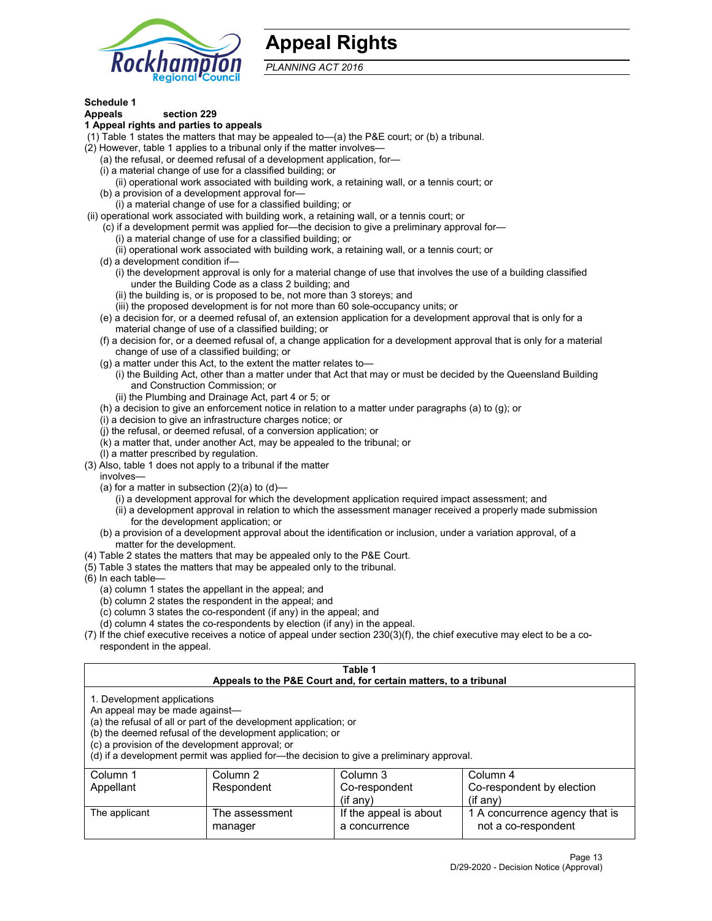

## **Appeal Rights**

*PLANNING ACT 2016*

## **Schedule 1**

## **Appeals section 229**

- **1 Appeal rights and parties to appeals**
- (1) Table 1 states the matters that may be appealed to—(a) the P&E court; or (b) a tribunal.
- (2) However, table 1 applies to a tribunal only if the matter involves—
	- (a) the refusal, or deemed refusal of a development application, for—
	- (i) a material change of use for a classified building; or
	- (ii) operational work associated with building work, a retaining wall, or a tennis court; or
	- (b) a provision of a development approval for—
	- (i) a material change of use for a classified building; or
- (ii) operational work associated with building work, a retaining wall, or a tennis court; or
	- (c) if a development permit was applied for—the decision to give a preliminary approval for—
		- (i) a material change of use for a classified building; or
	- (ii) operational work associated with building work, a retaining wall, or a tennis court; or
	- (d) a development condition if—
		- (i) the development approval is only for a material change of use that involves the use of a building classified under the Building Code as a class 2 building; and
		- (ii) the building is, or is proposed to be, not more than 3 storeys; and
		- (iii) the proposed development is for not more than 60 sole-occupancy units; or
	- (e) a decision for, or a deemed refusal of, an extension application for a development approval that is only for a material change of use of a classified building; or
	- (f) a decision for, or a deemed refusal of, a change application for a development approval that is only for a material change of use of a classified building; or
	- (g) a matter under this Act, to the extent the matter relates to—
		- (i) the Building Act, other than a matter under that Act that may or must be decided by the Queensland Building and Construction Commission; or
		- (ii) the Plumbing and Drainage Act, part 4 or 5; or
	- (h) a decision to give an enforcement notice in relation to a matter under paragraphs (a) to (g); or
	- (i) a decision to give an infrastructure charges notice; or
	- (j) the refusal, or deemed refusal, of a conversion application; or
	- (k) a matter that, under another Act, may be appealed to the tribunal; or
	- (l) a matter prescribed by regulation.
- (3) Also, table 1 does not apply to a tribunal if the matter
	- involves—
		- (a) for a matter in subsection  $(2)(a)$  to  $(d)$ 
			- (i) a development approval for which the development application required impact assessment; and
			- (ii) a development approval in relation to which the assessment manager received a properly made submission for the development application; or
	- (b) a provision of a development approval about the identification or inclusion, under a variation approval, of a matter for the development.
- (4) Table 2 states the matters that may be appealed only to the P&E Court.
- (5) Table 3 states the matters that may be appealed only to the tribunal.
- (6) In each table—
	- (a) column 1 states the appellant in the appeal; and
	- (b) column 2 states the respondent in the appeal; and
	- (c) column 3 states the co-respondent (if any) in the appeal; and
	- (d) column 4 states the co-respondents by election (if any) in the appeal.
- (7) If the chief executive receives a notice of appeal under section 230(3)(f), the chief executive may elect to be a corespondent in the appeal.

| Table 1<br>Appeals to the P&E Court and, for certain matters, to a tribunal                                                                                                                                                                                                                                                                    |                           |                                         |                                                       |
|------------------------------------------------------------------------------------------------------------------------------------------------------------------------------------------------------------------------------------------------------------------------------------------------------------------------------------------------|---------------------------|-----------------------------------------|-------------------------------------------------------|
| 1. Development applications<br>An appeal may be made against-<br>(a) the refusal of all or part of the development application; or<br>(b) the deemed refusal of the development application; or<br>(c) a provision of the development approval; or<br>(d) if a development permit was applied for—the decision to give a preliminary approval. |                           |                                         |                                                       |
| Column 1                                                                                                                                                                                                                                                                                                                                       | Column 2                  | Column 3                                | Column 4                                              |
| Appellant                                                                                                                                                                                                                                                                                                                                      | Respondent                | Co-respondent                           | Co-respondent by election                             |
|                                                                                                                                                                                                                                                                                                                                                |                           | $(if$ any)                              | $(if$ any)                                            |
| The applicant                                                                                                                                                                                                                                                                                                                                  | The assessment<br>manager | If the appeal is about<br>a concurrence | 1 A concurrence agency that is<br>not a co-respondent |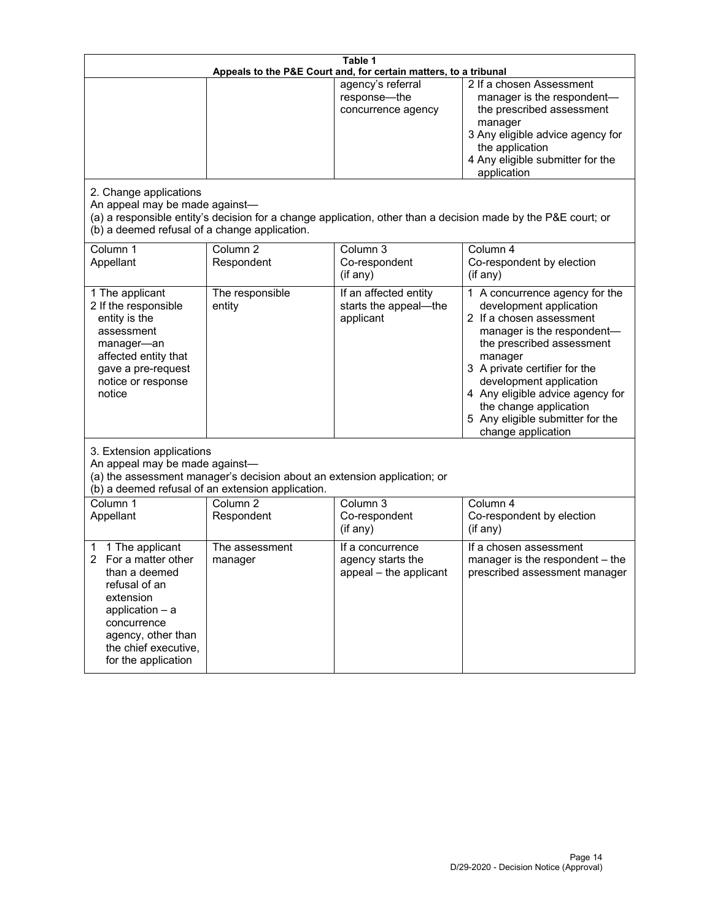|                                                                                                                                                                                                         | Table 1<br>Appeals to the P&E Court and, for certain matters, to a tribunal                                                   |                                                                 |                                                                                                                                                                                                                                                                                                                                                 |  |
|---------------------------------------------------------------------------------------------------------------------------------------------------------------------------------------------------------|-------------------------------------------------------------------------------------------------------------------------------|-----------------------------------------------------------------|-------------------------------------------------------------------------------------------------------------------------------------------------------------------------------------------------------------------------------------------------------------------------------------------------------------------------------------------------|--|
| 2. Change applications<br>An appeal may be made against-                                                                                                                                                |                                                                                                                               | agency's referral<br>response-the<br>concurrence agency         | 2 If a chosen Assessment<br>manager is the respondent-<br>the prescribed assessment<br>manager<br>3 Any eligible advice agency for<br>the application<br>4 Any eligible submitter for the<br>application<br>(a) a responsible entity's decision for a change application, other than a decision made by the P&E court; or                       |  |
| (b) a deemed refusal of a change application.<br>Column 1<br>Appellant                                                                                                                                  | Column <sub>2</sub><br>Respondent                                                                                             | Column 3<br>Co-respondent<br>(if any)                           | Column 4<br>Co-respondent by election<br>(if any)                                                                                                                                                                                                                                                                                               |  |
| 1 The applicant<br>2 If the responsible<br>entity is the<br>assessment<br>manager-an<br>affected entity that<br>gave a pre-request<br>notice or response<br>notice                                      | The responsible<br>entity                                                                                                     | If an affected entity<br>starts the appeal-the<br>applicant     | 1 A concurrence agency for the<br>development application<br>2 If a chosen assessment<br>manager is the respondent-<br>the prescribed assessment<br>manager<br>3 A private certifier for the<br>development application<br>4 Any eligible advice agency for<br>the change application<br>5 Any eligible submitter for the<br>change application |  |
| 3. Extension applications<br>An appeal may be made against-                                                                                                                                             | (a) the assessment manager's decision about an extension application; or<br>(b) a deemed refusal of an extension application. |                                                                 |                                                                                                                                                                                                                                                                                                                                                 |  |
| Column 1<br>Appellant                                                                                                                                                                                   | Column <sub>2</sub><br>Respondent                                                                                             | Column 3<br>Co-respondent<br>(if any)                           | Column 4<br>Co-respondent by election<br>(if any)                                                                                                                                                                                                                                                                                               |  |
| 1 The applicant<br>1<br>For a matter other<br>2<br>than a deemed<br>refusal of an<br>extension<br>application $-$ a<br>concurrence<br>agency, other than<br>the chief executive,<br>for the application | The assessment<br>manager                                                                                                     | If a concurrence<br>agency starts the<br>appeal - the applicant | If a chosen assessment<br>manager is the respondent - the<br>prescribed assessment manager                                                                                                                                                                                                                                                      |  |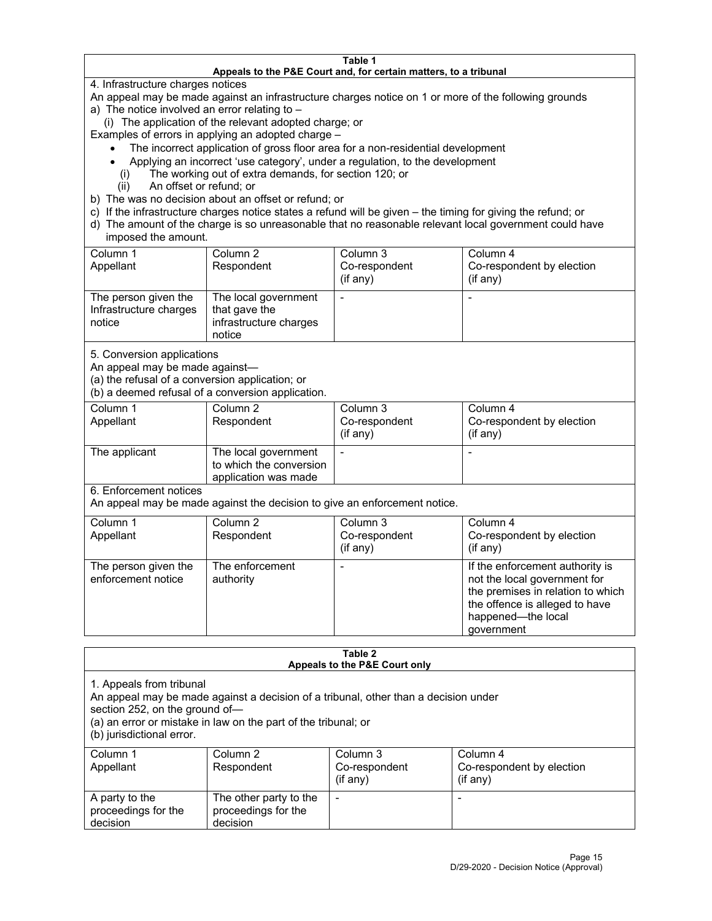#### **Table 1 Appeals to the P&E Court and, for certain matters, to a tribunal**

4. Infrastructure charges notices

An appeal may be made against an infrastructure charges notice on 1 or more of the following grounds

- a) The notice involved an error relating to
	- (i) The application of the relevant adopted charge; or

Examples of errors in applying an adopted charge –

- The incorrect application of gross floor area for a non-residential development
- Applying an incorrect 'use category', under a regulation, to the development
- (i) The working out of extra demands, for section 120; or
- (ii) An offset or refund; or
- b) The was no decision about an offset or refund; or
- c) If the infrastructure charges notice states a refund will be given the timing for giving the refund; or
- d) The amount of the charge is so unreasonable that no reasonable relevant local government could have imposed the amount.

| Column 1<br>Appellant                                    | Column 2<br>Respondent                                                    | Column 3<br>Co-respondent<br>(i f any) | Column 4<br>Co-respondent by election<br>(i f any) |
|----------------------------------------------------------|---------------------------------------------------------------------------|----------------------------------------|----------------------------------------------------|
| The person given the<br>Infrastructure charges<br>notice | The local government<br>that gave the<br>infrastructure charges<br>notice |                                        |                                                    |

5. Conversion applications

An appeal may be made against—

(a) the refusal of a conversion application; or

(b) a deemed refusal of a conversion application.

| Column 1      | Column 2                | Column 3       | Column 4                  |
|---------------|-------------------------|----------------|---------------------------|
| Appellant     | Respondent              | Co-respondent  | Co-respondent by election |
|               |                         | $($ if any $)$ | $($ if any $)$            |
|               |                         |                |                           |
| The applicant | The local government    |                |                           |
|               | to which the conversion |                |                           |
|               | application was made    |                |                           |

6. Enforcement notices

An appeal may be made against the decision to give an enforcement notice.

| Column 1<br>Appellant                      | Column 2<br>Respondent       | Column 3<br>Co-respondent<br>(if any) | Column 4<br>Co-respondent by election<br>(i f any)                                                                                                                         |
|--------------------------------------------|------------------------------|---------------------------------------|----------------------------------------------------------------------------------------------------------------------------------------------------------------------------|
| The person given the<br>enforcement notice | The enforcement<br>authority |                                       | If the enforcement authority is<br>not the local government for<br>the premises in relation to which<br>the offence is alleged to have<br>happened-the local<br>government |

#### **Table 2 Appeals to the P&E Court only**

1. Appeals from tribunal

An appeal may be made against a decision of a tribunal, other than a decision under

section 252, on the ground of—

(a) an error or mistake in law on the part of the tribunal; or

(b) jurisdictional error.

| Column 1<br>Appellant                             | Column 2<br>Respondent                                    | Column 3<br>Co-respondent<br>$(if$ any) | Column 4<br>Co-respondent by election<br>$(if$ any) |
|---------------------------------------------------|-----------------------------------------------------------|-----------------------------------------|-----------------------------------------------------|
| A party to the<br>proceedings for the<br>decision | The other party to the<br>proceedings for the<br>decision | $\overline{\phantom{a}}$                |                                                     |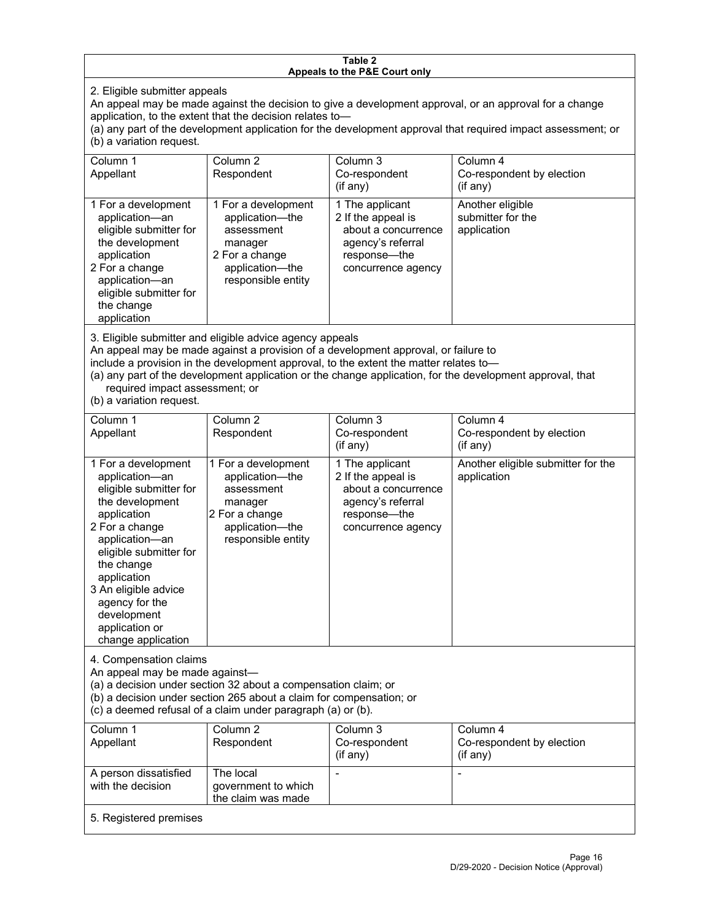#### **Table 2 Appeals to the P&E Court only**

2. Eligible submitter appeals

An appeal may be made against the decision to give a development approval, or an approval for a change application, to the extent that the decision relates to—

(a) any part of the development application for the development approval that required impact assessment; or (b) a variation request.

| Column 1<br>Appellant                                                                                                                                                                        | Column 2<br>Respondent                                                                                                     | Column 3<br>Co-respondent<br>(i f any)                                                                                  | Column 4<br>Co-respondent by election<br>$($ if any $)$ |
|----------------------------------------------------------------------------------------------------------------------------------------------------------------------------------------------|----------------------------------------------------------------------------------------------------------------------------|-------------------------------------------------------------------------------------------------------------------------|---------------------------------------------------------|
| 1 For a development<br>application-an<br>eligible submitter for<br>the development<br>application<br>2 For a change<br>application-an<br>eligible submitter for<br>the change<br>application | 1 For a development<br>application-the<br>assessment<br>manager<br>2 For a change<br>application-the<br>responsible entity | 1 The applicant<br>2 If the appeal is<br>about a concurrence<br>agency's referral<br>response—the<br>concurrence agency | Another eligible<br>submitter for the<br>application    |

3. Eligible submitter and eligible advice agency appeals

An appeal may be made against a provision of a development approval, or failure to

include a provision in the development approval, to the extent the matter relates to—

(a) any part of the development application or the change application, for the development approval, that required impact assessment; or

(b) a variation request.

| Column 1<br>Appellant                                                                                                                                                                                                                                                                         | Column <sub>2</sub><br>Respondent                                                                                          | Column 3<br>Co-respondent<br>(if any)                                                                                   | Column 4<br>Co-respondent by election<br>(if any)  |  |
|-----------------------------------------------------------------------------------------------------------------------------------------------------------------------------------------------------------------------------------------------------------------------------------------------|----------------------------------------------------------------------------------------------------------------------------|-------------------------------------------------------------------------------------------------------------------------|----------------------------------------------------|--|
| 1 For a development<br>application-an<br>eligible submitter for<br>the development<br>application<br>2 For a change<br>application-an<br>eligible submitter for<br>the change<br>application<br>3 An eligible advice<br>agency for the<br>development<br>application or<br>change application | 1 For a development<br>application-the<br>assessment<br>manager<br>2 For a change<br>application-the<br>responsible entity | 1 The applicant<br>2 If the appeal is<br>about a concurrence<br>agency's referral<br>response—the<br>concurrence agency | Another eligible submitter for the<br>application  |  |
| 4. Compensation claims<br>An appeal may be made against-<br>(a) a decision under section 32 about a compensation claim; or<br>(b) a decision under section 265 about a claim for compensation; or<br>(c) a deemed refusal of a claim under paragraph (a) or (b).                              |                                                                                                                            |                                                                                                                         |                                                    |  |
| Column <sub>1</sub><br>Appellant                                                                                                                                                                                                                                                              | Column <sub>2</sub><br>Respondent                                                                                          | Column 3<br>Co-respondent<br>(if any)                                                                                   | Column 4<br>Co-respondent by election<br>(i f any) |  |
| A person dissatisfied<br>with the decision                                                                                                                                                                                                                                                    | The local<br>government to which<br>the claim was made                                                                     |                                                                                                                         |                                                    |  |
| 5. Registered premises                                                                                                                                                                                                                                                                        |                                                                                                                            |                                                                                                                         |                                                    |  |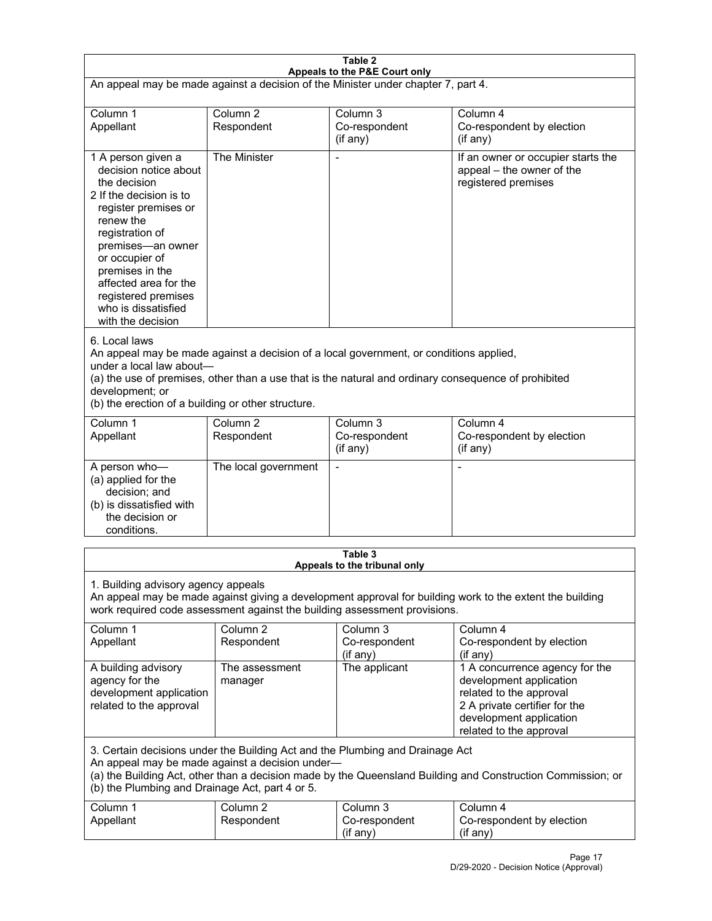| Table 2<br>Appeals to the P&E Court only                                                                                                                                                                                                                                                                             |                                   |                                                                                                           |                                                                                                                                                                             |
|----------------------------------------------------------------------------------------------------------------------------------------------------------------------------------------------------------------------------------------------------------------------------------------------------------------------|-----------------------------------|-----------------------------------------------------------------------------------------------------------|-----------------------------------------------------------------------------------------------------------------------------------------------------------------------------|
| An appeal may be made against a decision of the Minister under chapter 7, part 4.                                                                                                                                                                                                                                    |                                   |                                                                                                           |                                                                                                                                                                             |
|                                                                                                                                                                                                                                                                                                                      |                                   |                                                                                                           |                                                                                                                                                                             |
| Column 1<br>Appellant                                                                                                                                                                                                                                                                                                | Column <sub>2</sub><br>Respondent | Column <sub>3</sub><br>Co-respondent<br>(if any)                                                          | Column 4<br>Co-respondent by election<br>(if any)                                                                                                                           |
| 1 A person given a<br>decision notice about<br>the decision<br>2 If the decision is to<br>register premises or<br>renew the<br>registration of<br>premises-an owner<br>or occupier of<br>premises in the<br>affected area for the<br>registered premises<br>who is dissatisfied<br>with the decision                 | The Minister                      | $\blacksquare$                                                                                            | If an owner or occupier starts the<br>appeal - the owner of the<br>registered premises                                                                                      |
| 6. Local laws<br>An appeal may be made against a decision of a local government, or conditions applied,<br>under a local law about-<br>(a) the use of premises, other than a use that is the natural and ordinary consequence of prohibited<br>development; or<br>(b) the erection of a building or other structure. |                                   |                                                                                                           |                                                                                                                                                                             |
| Column 1<br>Appellant                                                                                                                                                                                                                                                                                                | Column <sub>2</sub><br>Respondent | Column 3<br>Co-respondent<br>(if any)                                                                     | Column 4<br>Co-respondent by election<br>(if any)                                                                                                                           |
| A person who-<br>(a) applied for the<br>decision; and<br>(b) is dissatisfied with<br>the decision or<br>conditions.                                                                                                                                                                                                  | The local government              |                                                                                                           |                                                                                                                                                                             |
| Table 3                                                                                                                                                                                                                                                                                                              |                                   |                                                                                                           |                                                                                                                                                                             |
| 1. Building advisory agency appeals                                                                                                                                                                                                                                                                                  |                                   | Appeals to the tribunal only<br>work required code assessment against the building assessment provisions. | An appeal may be made against giving a development approval for building work to the extent the building                                                                    |
| Column 1<br>Appellant                                                                                                                                                                                                                                                                                                | Column <sub>2</sub><br>Respondent | Column 3<br>Co-respondent<br>(if any)                                                                     | Column 4<br>Co-respondent by election<br>(if any)                                                                                                                           |
| A building advisory<br>agency for the<br>development application<br>related to the approval                                                                                                                                                                                                                          | The assessment<br>manager         | The applicant                                                                                             | 1 A concurrence agency for the<br>development application<br>related to the approval<br>2 A private certifier for the<br>development application<br>related to the approval |
| 3. Certain decisions under the Building Act and the Plumbing and Drainage Act<br>An appeal may be made against a decision under-<br>(a) the Building Act, other than a decision made by the Queensland Building and Construction Commission; or<br>(b) the Plumbing and Drainage Act, part 4 or 5.                   |                                   |                                                                                                           |                                                                                                                                                                             |
| Column 1<br>Appellant                                                                                                                                                                                                                                                                                                | Column <sub>2</sub><br>Respondent | Column 3<br>Co-respondent<br>(if any)                                                                     | Column 4<br>Co-respondent by election<br>(if any)                                                                                                                           |